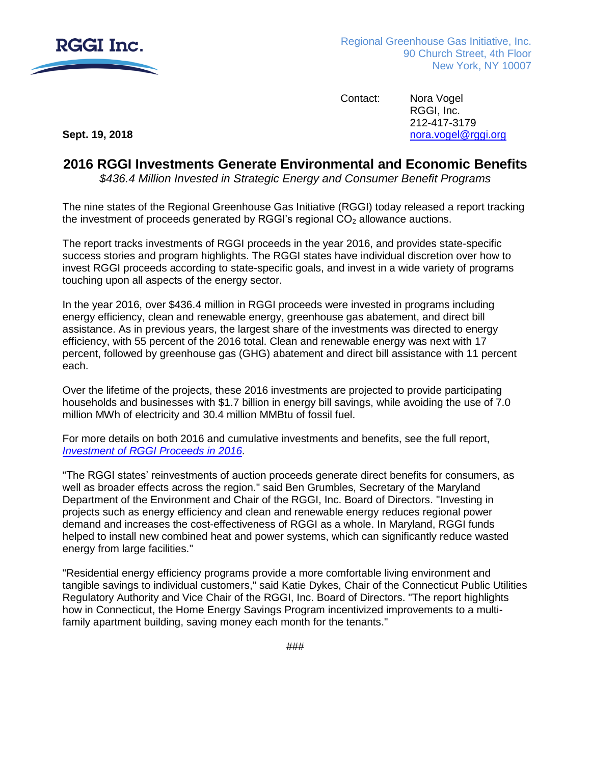

Contact: Nora Vogel RGGI, Inc. 212-417-3179 **Sept. 19, 2018 [nora.vogel@rggi.org](mailto:nora.vogel@rggi.org) nora.vogel@rggi.org** 

## **2016 RGGI Investments Generate Environmental and Economic Benefits**

*\$436.4 Million Invested in Strategic Energy and Consumer Benefit Programs*

The nine states of the Regional Greenhouse Gas Initiative (RGGI) today released a report tracking the investment of proceeds generated by RGGI's regional  $CO<sub>2</sub>$  allowance auctions.

The report tracks investments of RGGI proceeds in the year 2016, and provides state-specific success stories and program highlights. The RGGI states have individual discretion over how to invest RGGI proceeds according to state-specific goals, and invest in a wide variety of programs touching upon all aspects of the energy sector.

In the year 2016, over \$436.4 million in RGGI proceeds were invested in programs including energy efficiency, clean and renewable energy, greenhouse gas abatement, and direct bill assistance. As in previous years, the largest share of the investments was directed to energy efficiency, with 55 percent of the 2016 total. Clean and renewable energy was next with 17 percent, followed by greenhouse gas (GHG) abatement and direct bill assistance with 11 percent each.

Over the lifetime of the projects, these 2016 investments are projected to provide participating households and businesses with \$1.7 billion in energy bill savings, while avoiding the use of 7.0 million MWh of electricity and 30.4 million MMBtu of fossil fuel.

For more details on both 2016 and cumulative investments and benefits, see the full report, *[Investment of RGGI Proceeds in](https://rggi.org/investments/proceeds-investments) 2016*.

"The RGGI states' reinvestments of auction proceeds generate direct benefits for consumers, as well as broader effects across the region." said Ben Grumbles, Secretary of the Maryland Department of the Environment and Chair of the RGGI, Inc. Board of Directors. "Investing in projects such as energy efficiency and clean and renewable energy reduces regional power demand and increases the cost-effectiveness of RGGI as a whole. In Maryland, RGGI funds helped to install new combined heat and power systems, which can significantly reduce wasted energy from large facilities."

"Residential energy efficiency programs provide a more comfortable living environment and tangible savings to individual customers," said Katie Dykes, Chair of the Connecticut Public Utilities Regulatory Authority and Vice Chair of the RGGI, Inc. Board of Directors. "The report highlights how in Connecticut, the Home Energy Savings Program incentivized improvements to a multifamily apartment building, saving money each month for the tenants."